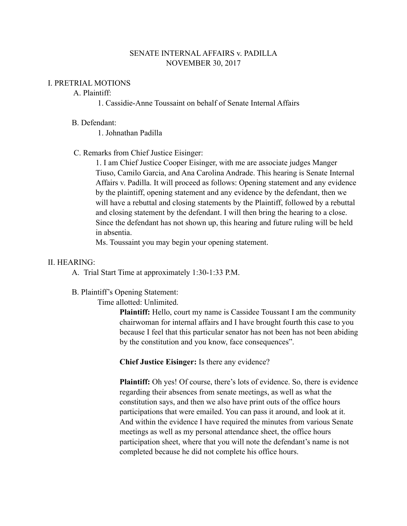# SENATE INTERNAL AFFAIRS v. PADILLA NOVEMBER 30, 2017

### I. PRETRIAL MOTIONS

# A. Plaintiff:

1. Cassidie-Anne Toussaint on behalf of Senate Internal Affairs

### B. Defendant:

1. Johnathan Padilla

# C. Remarks from Chief Justice Eisinger:

1. I am Chief Justice Cooper Eisinger, with me are associate judges Manger Tiuso, Camilo Garcia, and Ana Carolina Andrade. This hearing is Senate Internal Affairs v. Padilla. It will proceed as follows: Opening statement and any evidence by the plaintiff, opening statement and any evidence by the defendant, then we will have a rebuttal and closing statements by the Plaintiff, followed by a rebuttal and closing statement by the defendant. I will then bring the hearing to a close. Since the defendant has not shown up, this hearing and future ruling will be held in absentia.

Ms. Toussaint you may begin your opening statement.

### II. HEARING:

A. Trial Start Time at approximately 1:30-1:33 P.M.

### B. Plaintiff's Opening Statement:

Time allotted: Unlimited.

**Plaintiff:** Hello, court my name is Cassidee Toussant I am the community chairwoman for internal affairs and I have brought fourth this case to you because I feel that this particular senator has not been has not been abiding by the constitution and you know, face consequences".

**Chief Justice Eisinger:** Is there any evidence?

**Plaintiff:** Oh yes! Of course, there's lots of evidence. So, there is evidence regarding their absences from senate meetings, as well as what the constitution says, and then we also have print outs of the office hours participations that were emailed. You can pass it around, and look at it. And within the evidence I have required the minutes from various Senate meetings as well as my personal attendance sheet, the office hours participation sheet, where that you will note the defendant's name is not completed because he did not complete his office hours.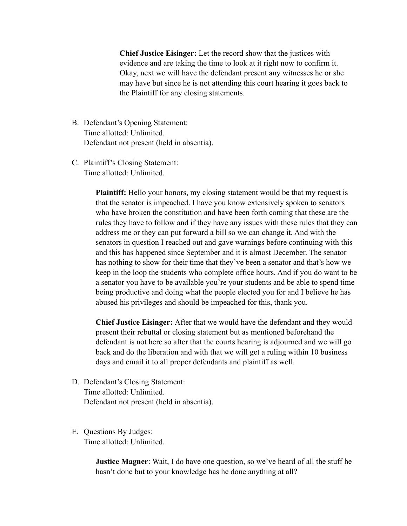**Chief Justice Eisinger:** Let the record show that the justices with evidence and are taking the time to look at it right now to confirm it. Okay, next we will have the defendant present any witnesses he or she may have but since he is not attending this court hearing it goes back to the Plaintiff for any closing statements.

- B. Defendant's Opening Statement: Time allotted: Unlimited. Defendant not present (held in absentia).
- C. Plaintiff's Closing Statement: Time allotted: Unlimited.

**Plaintiff:** Hello your honors, my closing statement would be that my request is that the senator is impeached. I have you know extensively spoken to senators who have broken the constitution and have been forth coming that these are the rules they have to follow and if they have any issues with these rules that they can address me or they can put forward a bill so we can change it. And with the senators in question I reached out and gave warnings before continuing with this and this has happened since September and it is almost December. The senator has nothing to show for their time that they've been a senator and that's how we keep in the loop the students who complete office hours. And if you do want to be a senator you have to be available you're your students and be able to spend time being productive and doing what the people elected you for and I believe he has abused his privileges and should be impeached for this, thank you.

**Chief Justice Eisinger:** After that we would have the defendant and they would present their rebuttal or closing statement but as mentioned beforehand the defendant is not here so after that the courts hearing is adjourned and we will go back and do the liberation and with that we will get a ruling within 10 business days and email it to all proper defendants and plaintiff as well.

D. Defendant's Closing Statement: Time allotted: Unlimited. Defendant not present (held in absentia).

### E. Questions By Judges: Time allotted: Unlimited.

**Justice Magner**: Wait, I do have one question, so we've heard of all the stuff he hasn't done but to your knowledge has he done anything at all?